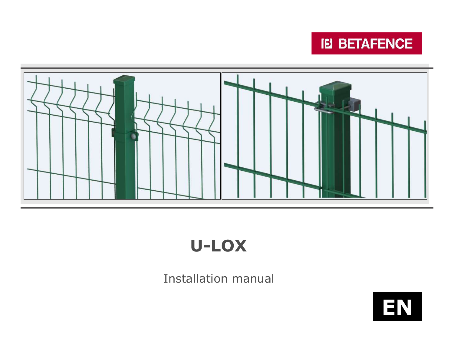



# U-LOX

## Installation manual

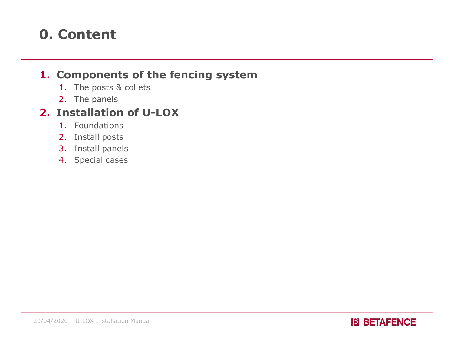## 0. Content

#### 1. Components of the fencing system

- 1. The posts & collets
- 2. The panels

### 2. Installation of U-LOX

- 1. Foundations
- 2. Install posts
- 3. Install panels
- 4. Special cases

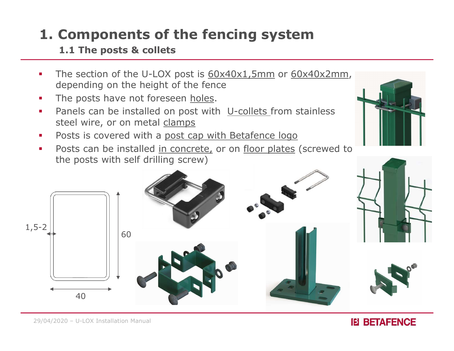## 1. Components of the fencing system

#### 1.1 The posts & collets

- **1. Components of the fencing system**<br>
1.1 The posts & collets<br>
The section of the U-LOX post is  $60x40x1,5mm$  or  $60x40x2mm$ ,<br>
the posts have not foreseen <u>holes</u>. depending on the height of the fence **1. Components of the fencing system**<br>
1.1 The posts & collets<br>
• The section of the U-LOX post is  $60 \times 40 \times 1.5$ mm or  $60 \times 40$ <br>
depending on the height of the fence<br>
• The posts have not foreseen <u>holes</u>.<br>
• Panels can **Components of the fencing system**<br>
1.1 The posts & collets<br>
The section of the U-LOX post is  $60x40x1,5mm$  or  $60x40x2mm$ ,<br>
depending on the height of the fence<br>
The posts have not foreseen <u>holes</u>.<br>
Panels can be installe
- 
- **Panels can be installed on post with U-collets from stainless**
- Posts is covered with a post cap with Betafence logo
- 



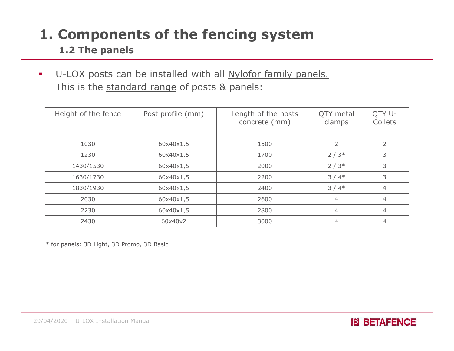## 1. Components of the fencing system

#### 1.2 The panels

U-LOX posts can be installed with all Nylofor family panels. **Components of the fencing system**<br>1.2 The panels<br>U-LOX posts can be installed with all <u>Nylofor family panels.</u><br>This is the <u>standard range</u> of posts & panels:<br>Height of the fence Post profile (mm) Length of the posts QT

| Height of the fence<br>Post profile (mm)<br>Length of the posts<br>QTY metal<br>concrete (mm)<br>clamps | QTY U-<br>Collets |
|---------------------------------------------------------------------------------------------------------|-------------------|
| 1030<br>$\overline{2}$<br>60x40x1,5<br>1500                                                             | $\overline{2}$    |
| 1230<br>$2/3*$<br>60x40x1,5<br>1700                                                                     | 3                 |
| $2/3*$<br>1430/1530<br>60x40x1,5<br>2000                                                                | 3                 |
| $3/4*$<br>1630/1730<br>60x40x1,5<br>2200                                                                | 3                 |
| 60x40x1,5<br>2400<br>$3/4*$<br>1830/1930                                                                | $\overline{4}$    |
| 60x40x1,5<br>2030<br>2600<br>$\overline{4}$                                                             | $\overline{4}$    |
| 2230<br>60x40x1,5<br>2800<br>4                                                                          | 4                 |
| 2430<br>60x40x2<br>3000<br>$\overline{4}$                                                               | $\overline{4}$    |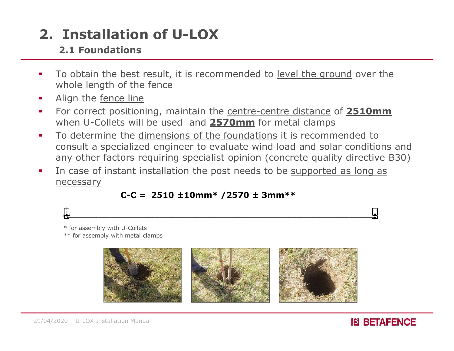#### 2.1 Foundations

- **2. Installation of U-LOX**<br> **2.1 Foundations**<br>
To obtain the best result, it is recommended to <u>level the ground</u> over the<br> **1** Align the <u>fence line</u> whole length of the fence **2. Installation of U-LOX**<br> **2.1 Foundations**<br> **For correct positioning, maintain the <u>centre-centre distance</u> of 2510mm<br>
<b>For correct positioning, maintain the <u>centre-centre distance</u> of 2510mm<br>
when U-Collets will be u**
- Align the fence line
- when U-Collets will be used and 2570mm for metal clamps
- **2. Installation of U-LOX**<br> **2.1 Foundations**<br> **To obtain the best result, it is recommended to <u>level the ground</u> over the<br>
whole length of the fence<br>
<b>4.** Align the <u>fence line</u><br> **For correct positioning, maintain the <u>**</u> consult a specialized engineer to evaluate wind load and solar conditions and any other factors requiring specialist opinion (concrete quality directive B30) **Solution:**<br> **COMPTE ACTE ACTS ACTS CONSTERN THEORY OF ACTS CONSTRENT OF ACTS SOMETHED SIMUM DURN THEORY AND NOTE INTERENT ACTS OF A SMILE DURN DURN THEORY THEORY THEORY THEORY THEORY THEORY THEORY THEORY THEORY THEORY THE**
- In case of instant installation the post needs to be supported as long as necessary



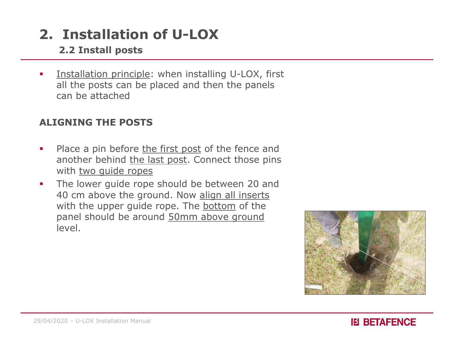#### 2.2 Install posts

**Installation principle:** when installing U-LOX, first all the posts can be placed and then the panels can be attached **2. Installation of U-LOX**<br> **2.2 Install posts**<br> **Place a pin before the first post of the fence and another behind the last post. Connect those pins<br>
<b>Place a pin before the first post of the fence and another behind the** 

#### ALIGNING THE POSTS

- another behind the last post. Connect those pins with two guide ropes
- **The lower guide rope should be between 20 and** 40 cm above the ground. Now align all inserts **Installation principle:** when installing U-LOX, first<br>all the posts can be placed and then the panels<br>can be attached<br>**GNING THE POSTS**<br>Place a pin before the first post of the fence and<br>another behind <u>the last post</u>. Co panel should be around 50mm above ground level. with <u>two guide ropes</u><br>
• The lower guide rope should be between 20<br>
40 cm above the ground. Now <u>align all insert</u><br>
with the upper guide rope. The <u>bottom</u> of the<br>
panel should be around <u>50mm above ground</u><br>
level.



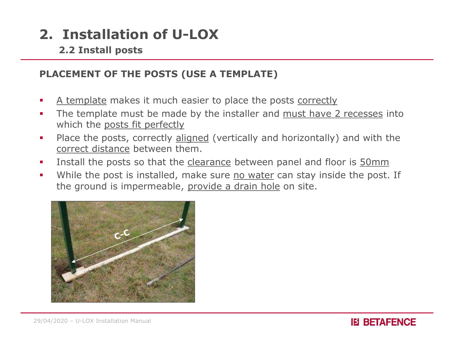2.2 Install posts

#### PLACEMENT OF THE POSTS (USE A TEMPLATE)

- 
- **2. Installation of U-LOX**<br>
2.2 Install posts<br>
PLACEMENT OF THE POSTS (USE A TEMPLATE)<br>
 A template makes it much easier to place the posts <u>correctly</u><br>
 The template must be made by the installer and <u>must have 2 reces</u> **2. Installation of U-LOX**<br> **2.2 Install posts**<br> **PLACEMENT OF THE POSTS (USE A TEMPLATE)**<br> **4.** <u>A template</u> makes it much easier to place the posts correctly<br> **1.** The template must be made by the installer and <u>must hav</u> which the posts fit perfectly
- **2. Installation of U-LOX**<br> **PLACEMENT OF THE POSTS (USE A TEMPLATE)**<br> **A** template makes it much easier to place the posts <u>correctly</u><br>
The template must be made by the installer and <u>must have 2 recesses</u> into<br>
which the **Installation of U-LOX**<br> **EXECUTE 2.2 Install posts**<br> **CEMENT OF THE POSTS (USE A TEMPLATE)**<br>
<u>A template</u> makes it much easier to place the posts corre<br>
The template must be made by the installer and <u>must ha</u><br>
which the **2. Installation of U-LOX**<br> **2.2 Install posts**<br> **PLACEMENT OF THE POSTS (USE A TEMPLATE)**<br> **4.** <u>A template</u> makes it much easier to place the posts correctly<br>
The template must be made by the installer and <u>must have 2 </u> **2. Installation of U-LOX**<br>
2.2 Install posts<br>
PLACEMENT OF THE POSTS (USE A TEMPLATE)<br>
• A template makes it much easier to place the posts <u>correctly</u><br>
• The template must be made by the installer and <u>must have 2 reces</u> **2.2 Install posts**<br> **CEMENT OF THE POSTS (USE A TEMPLATE)**<br>
A template makes it much easier to place the posts <u>correctly</u><br>
The template must be made by the installer and <u>must have 2 recesses</u> into<br>
which the <u>posts fit </u>
- 
- 



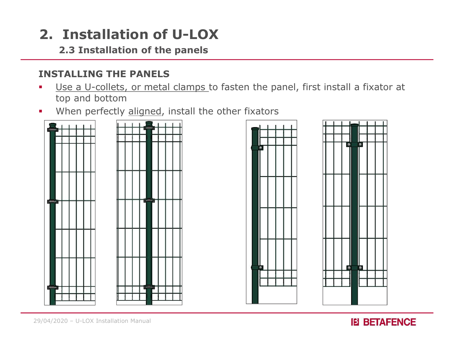#### 2.3 Installation of the panels

#### INSTALLING THE PANELS

- Use a U-collets, or metal clamps to fasten the panel, first install a fixator at top and bottom
- When perfectly aligned, install the other fixators







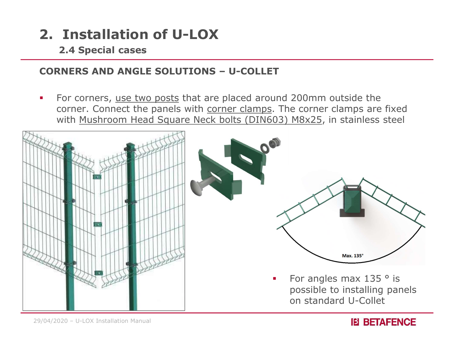2.4 Special cases

**2. Installation of U-LOX**<br>
2.4 Special cases<br>
CORNERS AND ANGLE SOLUTIONS – U-COLLET<br>
• For corners, <u>use two posts</u> that are placed around 200mm outside the **2. Installation of U-LOX**<br> **2.4 Special cases**<br> **CORNERS AND ANGLE SOLUTIONS – U-COLLET**<br>
For corners, <u>use two posts</u> that are placed around 200mm outside the<br>
corner. Connect the panels with <u>corner clamps</u>. The corner **CORRET CORRET CORRET CORRET SPECIES AND ANGLE SOLUTIONS – U-COLLET**<br>For corners, <u>use two posts</u> that are placed around 200mm outside the corner. Connect the panels with <u>corner clamps</u>. The corner clamps are fixed with <u></u> with Mushroom Head Square Neck bolts (DIN603) M8x25, in stainless steel



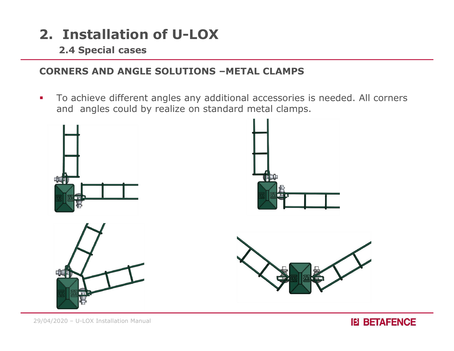2.4 Special cases

#### CORNERS AND ANGLE SOLUTIONS –METAL CLAMPS

To achieve different angles any additional accessories is needed. All corners and angles could by realize on standard metal clamps.



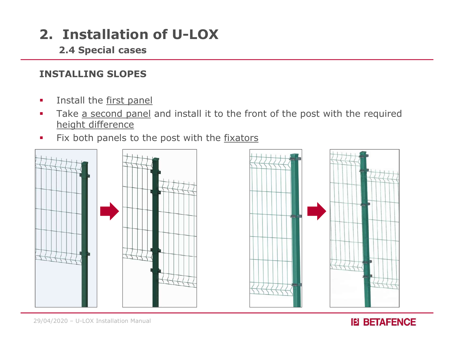2.4 Special cases

#### INSTALLING SLOPES

- **Install the first panel**
- **2. Installation of U-LOX**<br> **EXECUTE:**<br> **EXECUTE:**<br>
INSTALLING SLOPES<br>
 Install the first panel<br>
 Take <u>a second panel</u> and install it to the front of the post with the required<br>
 Fix both panels to the post with the <u>f</u> height difference
- Fix both panels to the post with the fixators